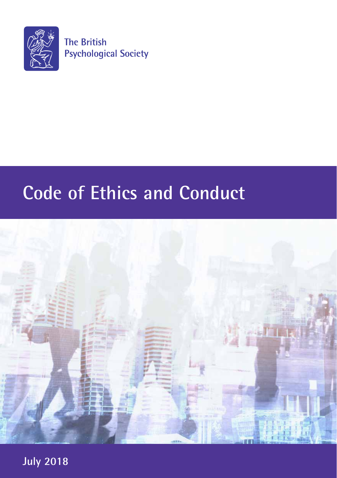

# **Code of Ethics and Conduct**



**July 2018**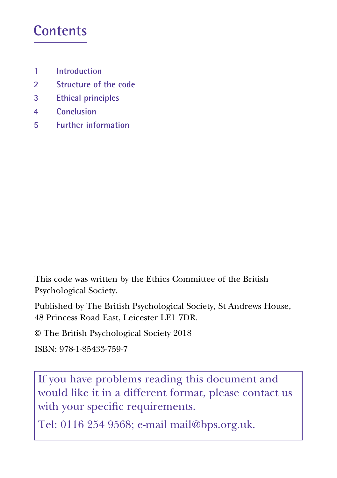### **Contents**

- **1 Introduction**
- **2 Structure of the code**
- **3 Ethical principles**
- **4 Conclusion**
- **5 Further information**

This code was written by the Ethics Committee of the British Psychological Society.

Published by The British Psychological Society, St Andrews House, 48 Princess Road East, Leicester LE1 7DR.

© The British Psychological Society 2018

```
ISBN: 978-1-85433-759-7
```
If you have problems reading this document and would like it in a different format, please contact us with your specific requirements.

Tel: 0116 254 9568; e-mail mail@bps.org.uk.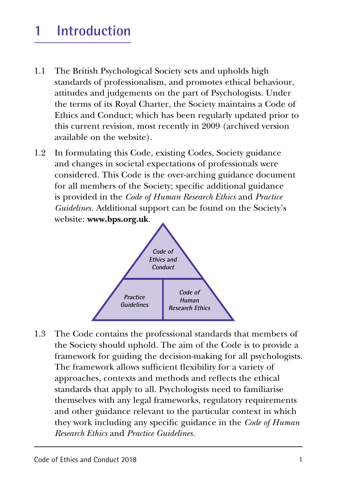## **1 Introduction**

- 1.1 The British Psychological Society sets and upholds high standards of professionalism, and promotes ethical behaviour, attitudes and judgements on the part of Psychologists. Under the terms of its Royal Charter, the Society maintains a Code of Ethics and Conduct; which has been regularly updated prior to this current revision, most recently in 2009 (archived version available on the website).
- 1.2 In formulating this Code, existing Codes, Society guidance and changes in societal expectations of professionals were considered. This Code is the over-arching guidance document for all members of the Society; specific additional guidance is provided in the *Code of Human Research Ethics* and *Practice Guidelines.* Additional support can be found on the Society's website: **www.bps.org.uk**.



1.3 The Code contains the professional standards that members of the Society should uphold. The aim of the Code is to provide a framework for guiding the decision-making for all psychologists. The framework allows sufficient flexibility for a variety of approaches, contexts and methods and reflects the ethical standards that apply to all. Psychologists need to familiarise themselves with any legal frameworks, regulatory requirements and other guidance relevant to the particular context in which they work including any specific guidance in the *Code of Human Research Ethics* and *Practice Guidelines.*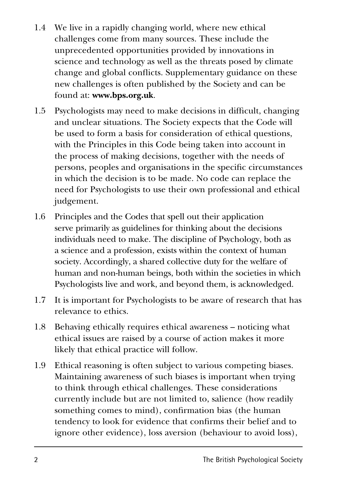- 1.4 We live in a rapidly changing world, where new ethical challenges come from many sources. These include the unprecedented opportunities provided by innovations in science and technology as well as the threats posed by climate change and global conflicts. Supplementary guidance on these new challenges is often published by the Society and can be found at: **www.bps.org.uk**.
- 1.5 Psychologists may need to make decisions in difficult, changing and unclear situations. The Society expects that the Code will be used to form a basis for consideration of ethical questions, with the Principles in this Code being taken into account in the process of making decisions, together with the needs of persons, peoples and organisations in the specific circumstances in which the decision is to be made. No code can replace the need for Psychologists to use their own professional and ethical judgement.
- 1.6 Principles and the Codes that spell out their application serve primarily as guidelines for thinking about the decisions individuals need to make. The discipline of Psychology, both as a science and a profession, exists within the context of human society. Accordingly, a shared collective duty for the welfare of human and non-human beings, both within the societies in which Psychologists live and work, and beyond them, is acknowledged.
- 1.7 It is important for Psychologists to be aware of research that has relevance to ethics.
- 1.8 Behaving ethically requires ethical awareness noticing what ethical issues are raised by a course of action makes it more likely that ethical practice will follow.
- 1.9 Ethical reasoning is often subject to various competing biases. Maintaining awareness of such biases is important when trying to think through ethical challenges. These considerations currently include but are not limited to, salience (how readily something comes to mind), confirmation bias (the human tendency to look for evidence that confirms their belief and to ignore other evidence), loss aversion (behaviour to avoid loss),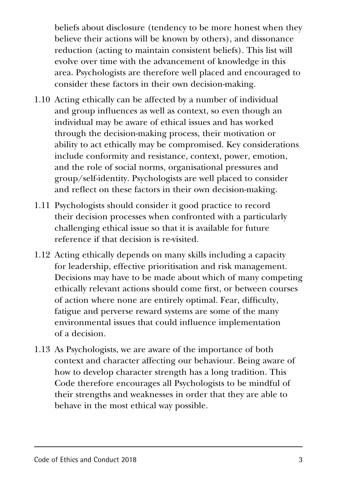beliefs about disclosure (tendency to be more honest when they believe their actions will be known by others), and dissonance reduction (acting to maintain consistent beliefs). This list will evolve over time with the advancement of knowledge in this area. Psychologists are therefore well placed and encouraged to consider these factors in their own decision-making.

- 1.10 Acting ethically can be affected by a number of individual and group influences as well as context, so even though an individual may be aware of ethical issues and has worked through the decision-making process, their motivation or ability to act ethically may be compromised. Key considerations include conformity and resistance, context, power, emotion, and the role of social norms, organisational pressures and group/self-identity. Psychologists are well placed to consider and reflect on these factors in their own decision-making.
- 1.11 Psychologists should consider it good practice to record their decision processes when confronted with a particularly challenging ethical issue so that it is available for future reference if that decision is re-visited.
- 1.12 Acting ethically depends on many skills including a capacity for leadership, effective prioritisation and risk management. Decisions may have to be made about which of many competing ethically relevant actions should come first, or between courses of action where none are entirely optimal. Fear, difficulty, fatigue and perverse reward systems are some of the many environmental issues that could influence implementation of a decision.
- 1.13 As Psychologists, we are aware of the importance of both context and character affecting our behaviour. Being aware of how to develop character strength has a long tradition. This Code therefore encourages all Psychologists to be mindful of their strengths and weaknesses in order that they are able to behave in the most ethical way possible.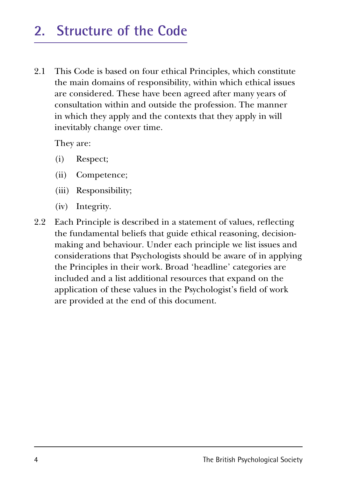### **2. Structure of the Code**

2.1 This Code is based on four ethical Principles, which constitute the main domains of responsibility, within which ethical issues are considered. These have been agreed after many years of consultation within and outside the profession. The manner in which they apply and the contexts that they apply in will inevitably change over time.

They are:

- (i) Respect;
- (ii) Competence;
- (iii) Responsibility;
- (iv) Integrity.
- 2.2 Each Principle is described in a statement of values, reflecting the fundamental beliefs that guide ethical reasoning, decisionmaking and behaviour. Under each principle we list issues and considerations that Psychologists should be aware of in applying the Principles in their work. Broad 'headline' categories are included and a list additional resources that expand on the application of these values in the Psychologist's field of work are provided at the end of this document.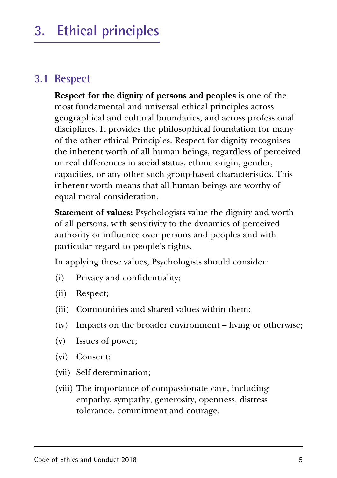## **3. Ethical principles**

#### **3.1 Respect**

**Respect for the dignity of persons and peoples** is one of the most fundamental and universal ethical principles across geographical and cultural boundaries, and across professional disciplines. It provides the philosophical foundation for many of the other ethical Principles. Respect for dignity recognises the inherent worth of all human beings, regardless of perceived or real differences in social status, ethnic origin, gender, capacities, or any other such group-based characteristics. This inherent worth means that all human beings are worthy of equal moral consideration.

**Statement of values:** Psychologists value the dignity and worth of all persons, with sensitivity to the dynamics of perceived authority or influence over persons and peoples and with particular regard to people's rights.

In applying these values, Psychologists should consider:

- (i) Privacy and confidentiality;
- (ii) Respect;
- (iii) Communities and shared values within them;
- (iv) Impacts on the broader environment living or otherwise;
- (v) Issues of power;
- (vi) Consent;
- (vii) Self-determination;
- (viii) The importance of compassionate care, including empathy, sympathy, generosity, openness, distress tolerance, commitment and courage.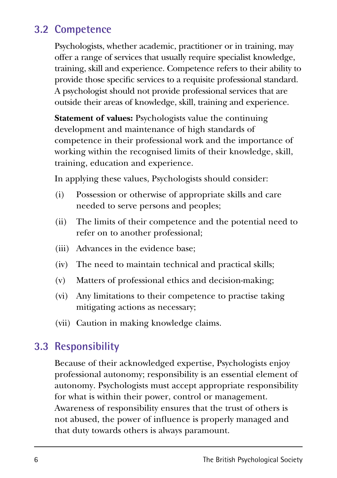### **3.2 Competence**

Psychologists, whether academic, practitioner or in training, may offer a range of services that usually require specialist knowledge, training, skill and experience. Competence refers to their ability to provide those specific services to a requisite professional standard. A psychologist should not provide professional services that are outside their areas of knowledge, skill, training and experience.

**Statement of values:** Psychologists value the continuing development and maintenance of high standards of competence in their professional work and the importance of working within the recognised limits of their knowledge, skill, training, education and experience.

In applying these values, Psychologists should consider:

- (i) Possession or otherwise of appropriate skills and care needed to serve persons and peoples;
- (ii) The limits of their competence and the potential need to refer on to another professional;
- (iii) Advances in the evidence base;
- (iv) The need to maintain technical and practical skills;
- (v) Matters of professional ethics and decision-making;
- (vi) Any limitations to their competence to practise taking mitigating actions as necessary;
- (vii) Caution in making knowledge claims.

#### **3.3 Responsibility**

Because of their acknowledged expertise, Psychologists enjoy professional autonomy; responsibility is an essential element of autonomy. Psychologists must accept appropriate responsibility for what is within their power, control or management. Awareness of responsibility ensures that the trust of others is not abused, the power of influence is properly managed and that duty towards others is always paramount.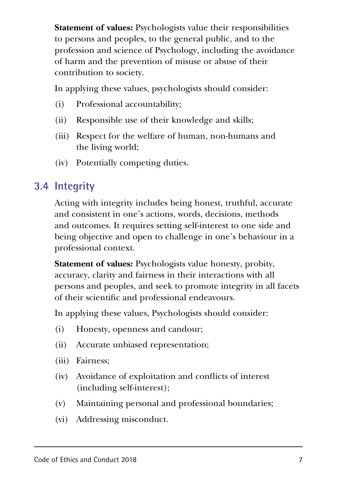**Statement of values:** Psychologists value their responsibilities to persons and peoples, to the general public, and to the profession and science of Psychology, including the avoidance of harm and the prevention of misuse or abuse of their contribution to society.

In applying these values, psychologists should consider:

- (i) Professional accountability;
- (ii) Responsible use of their knowledge and skills;
- (iii) Respect for the welfare of human, non-humans and the living world;
- (iv) Potentially competing duties.

### **3.4 Integrity**

Acting with integrity includes being honest, truthful, accurate and consistent in one's actions, words, decisions, methods and outcomes. It requires setting self-interest to one side and being objective and open to challenge in one's behaviour in a professional context.

**Statement of values:** Psychologists value honesty, probity, accuracy, clarity and fairness in their interactions with all persons and peoples, and seek to promote integrity in all facets of their scientific and professional endeavours.

In applying these values, Psychologists should consider:

- (i) Honesty, openness and candour;
- (ii) Accurate unbiased representation;
- (iii) Fairness;
- (iv) Avoidance of exploitation and conflicts of interest (including self-interest);
- (v) Maintaining personal and professional boundaries;
- (vi) Addressing misconduct.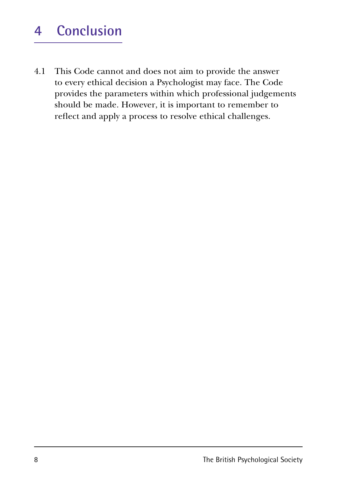### **4 Conclusion**

4.1 This Code cannot and does not aim to provide the answer to every ethical decision a Psychologist may face. The Code provides the parameters within which professional judgements should be made. However, it is important to remember to reflect and apply a process to resolve ethical challenges.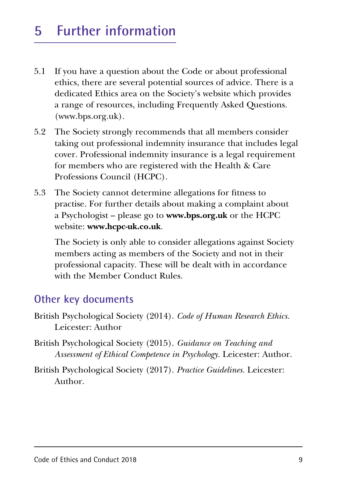## **5 Further information**

- 5.1 If you have a question about the Code or about professional ethics, there are several potential sources of advice. There is a dedicated Ethics area on the Society's website which provides a range of resources, including Frequently Asked Questions. (www.bps.org.uk).
- 5.2 The Society strongly recommends that all members consider taking out professional indemnity insurance that includes legal cover. Professional indemnity insurance is a legal requirement for members who are registered with the Health & Care Professions Council (HCPC).
- 5.3 The Society cannot determine allegations for fitness to practise. For further details about making a complaint about a Psychologist – please go to **www.bps.org.uk** or the HCPC website: **www.hcpc-uk.co.uk**.

The Society is only able to consider allegations against Society members acting as members of the Society and not in their professional capacity. These will be dealt with in accordance with the Member Conduct Rules.

#### **Other key documents**

- British Psychological Society (2014). *Code of Human Research Ethics.*  Leicester: Author
- British Psychological Society (2015). *Guidance on Teaching and Assessment of Ethical Competence in Psychology.* Leicester: Author.
- British Psychological Society (2017). *Practice Guidelines.* Leicester: Author.